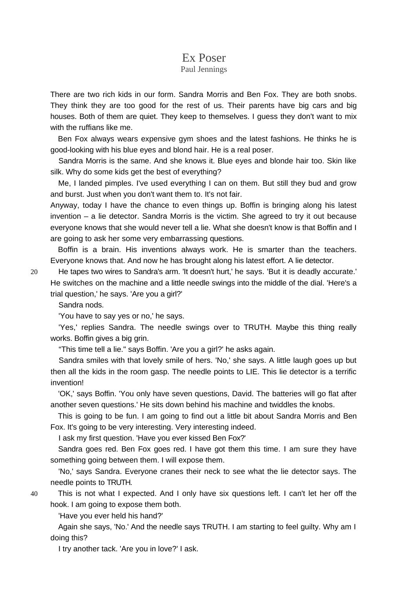## Ex Poser

## Paul Jennings

There are two rich kids in our form. Sandra Morris and Ben Fox. They are both snobs. They think they are too good for the rest of us. Their parents have big cars and big houses. Both of them are quiet. They keep to themselves. I guess they don't want to mix with the ruffians like me.

Ben Fox always wears expensive gym shoes and the latest fashions. He thinks he is good-looking with his blue eyes and blond hair. He is a real poser.

Sandra Morris is the same. And she knows it. Blue eyes and blonde hair too. Skin like silk. Why do some kids get the best of everything?

Me, I landed pimples. I've used everything I can on them. But still they bud and grow and burst. Just when you don't want them to. It's not fair.

Anyway, today I have the chance to even things up. Boffin is bringing along his latest invention – a lie detector. Sandra Morris is the victim. She agreed to try it out because everyone knows that she would never tell a lie. What she doesn't know is that Boffin and I are going to ask her some very embarrassing questions.

Boffin is a brain. His inventions always work. He is smarter than the teachers. Everyone knows that. And now he has brought along his latest effort. A lie detector.

20 He tapes two wires to Sandra's arm. 'It doesn't hurt,' he says. 'But it is deadly accurate.' He switches on the machine and a little needle swings into the middle of the dial. 'Here's a trial question,' he says. 'Are you a girl?'

Sandra nods.

'You have to say yes or no,' he says.

'Yes,' replies Sandra. The needle swings over to TRUTH. Maybe this thing really works. Boffin gives a big grin.

"This time tell a lie." says Boffin. 'Are you a girl?' he asks again.

Sandra smiles with that lovely smile of hers. 'No,' she says. A little laugh goes up but then all the kids in the room gasp. The needle points to LIE. This lie detector is a terrific invention!

'OK,' says Boffin. 'You only have seven questions, David. The batteries will go flat after another seven questions.' He sits down behind his machine and twiddles the knobs.

This is going to be fun. I am going to find out a little bit about Sandra Morris and Ben Fox. It's going to be very interesting. Very interesting indeed.

I ask my first question. 'Have you ever kissed Ben Fox?'

Sandra goes red. Ben Fox goes red. I have got them this time. I am sure they have something going between them. I will expose them.

'No,' says Sandra. Everyone cranes their neck to see what the lie detector says. The needle points to TRUTH.

40 This is not what I expected. And I only have six questions left. I can't let her off the hook. I am going to expose them both.

'Have you ever held his hand?'

Again she says, 'No.' And the needle says TRUTH. I am starting to feel guilty. Why am I doing this?

I try another tack. 'Are you in love?' I ask.